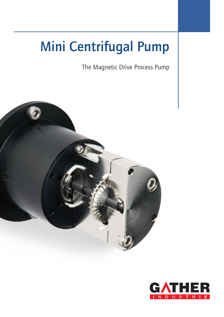# **Mini Centrifugal Pump**

The Magnetic Drive Process Pump



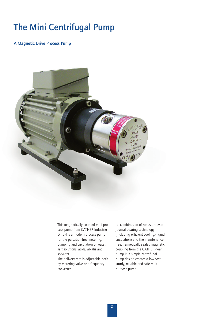# **The Mini Centrifugal Pump**

**A Magnetic Drive Process Pump**



This magnetically coupled mini process pump from GATHER Industrie GmbH is a modern process pump for the pulsation-free metering, pumping and circulation of water, salt solutions, acids, alkalis and solvents.

The delivery rate is adjustable both by metering valve and frequency converter.

Its combination of robust, proven journal bearing technology (including efficient cooling/liquid circulation) and the maintenancefree, hermetically sealed magnetic coupling from the GATHER gear pump in a simple centrifugal pump design creates a low-cost, sturdy, reliable and safe multipurpose pump.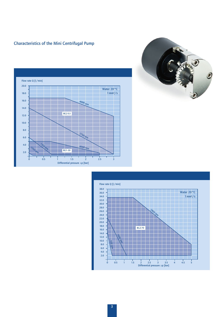# **Characteristics of the Mini Centrifugal Pump**





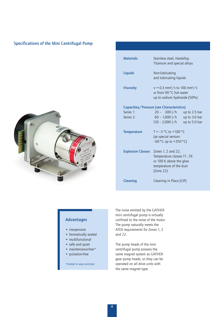# **Specifications of the Mini Centrifugal Pump**



| <b>Materials</b>                          | Stainless steel, Hastelloy,<br>Titanium and special alloys                                                                          |               |
|-------------------------------------------|-------------------------------------------------------------------------------------------------------------------------------------|---------------|
| Liquids                                   | Non-lubricating<br>and lubricating liquids                                                                                          |               |
| <b>Viscosity</b>                          | $v = 0.3$ mm <sup>2</sup> /s to 100 mm <sup>2</sup> /s<br>or from 99 °C hot water<br>up to sodium hydroxide (50%)                   |               |
| Capacities/Pressure (see Characteristics) |                                                                                                                                     |               |
| Series 1:                                 | $20 - 300$ I/h                                                                                                                      | up to 2.5 bar |
| Series 2:                                 | $60 - 1,000$ I/h                                                                                                                    | up to 3.0 bar |
|                                           | $120 - 2,000$ l/h                                                                                                                   | up to 5.0 bar |
| <b>Temperature</b>                        | $T = -5 °C$ to $+100 °C$<br>(as special version:<br>$-60$ °C up to $+350$ °C)                                                       |               |
|                                           | Explosion Classes Zones 1, 2 and 22,<br>Temperature classes T1T6<br>or 100 K above the glow<br>temperature of the dust<br>(Zone 22) |               |
| Cleaning                                  | Cleaning in Place (CIP)                                                                                                             |               |

## **Advantages**

- inexpensive
- hermetically sealed
- multifunctional
- safe and quiet
- maintenance-free\*
- pulsation-free

*\*limited to wear and tear*

The noise emitted by the GATHER mini centrifugal pump is virtually confined to the noise of the motor. The pump naturally meets the ATEX requirements for Zones 1, 2 and 22.

The pump heads of the mini centrifugal pump possess the same magnet system as GATHER gear pump heads, so they can be operated on all drive units with the same magnet type.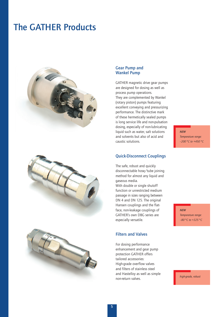# **The GATHER Products**







#### **Gear Pump and Wankel Pump**

GATHER magnetic drive gear pumps are designed for dosing as well as process pump operations. They are complemented by Wankel (rotary piston) pumps featuring excellent conveying and pressurizing performance. The distinctive mark of these hermetically sealed pumps is long service life and non-pulsation dosing, especially of non-lubricating liquid such as water, salt solutions and solvents but also of acid and caustic solutions.

#### **Quick-Disconnect Couplings**

The safe, robust and quickly disconnectable hose/tube joining method for almost any liquid and gaseous media.

With double or single shutoff function or unrestricted medium passage in sizes ranging between DN 4 and DN 125. The original Hansen couplings and the flatface, non-leakage couplings of GATHER's own DBG series are especially versatile.

### **Filters and Valves**

For dosing performance enhancement and gear pump protection GATHER offers tailored accessories: High-grade overflow valves and filters of stainless steel and Hastelloy as well as simple non-return valves.

*NEW*

*Temperature range: –200°C to +450°C*

*NEW Temperature range: –80°C to +325°C*

*high-grade, robust*